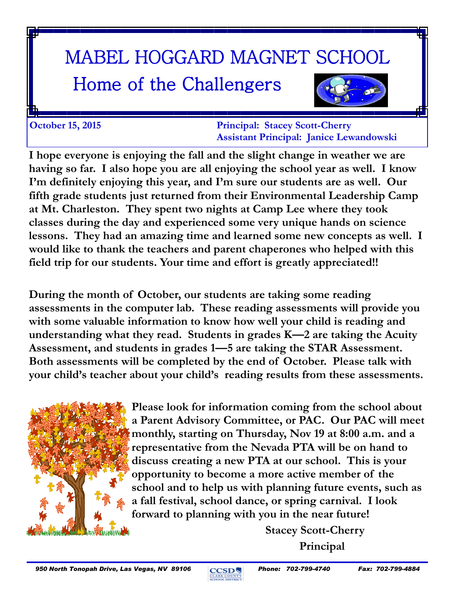# MABEL HOGGARD MAGNET SCHOOL

# Home of the Challengers



**October 15, 2015 Principal: Stacey Scott-Cherry Assistant Principal: Janice Lewandowski**

**I hope everyone is enjoying the fall and the slight change in weather we are having so far. I also hope you are all enjoying the school year as well. I know I'm definitely enjoying this year, and I'm sure our students are as well. Our fifth grade students just returned from their Environmental Leadership Camp at Mt. Charleston. They spent two nights at Camp Lee where they took classes during the day and experienced some very unique hands on science lessons. They had an amazing time and learned some new concepts as well. I would like to thank the teachers and parent chaperones who helped with this field trip for our students. Your time and effort is greatly appreciated!!** 

**During the month of October, our students are taking some reading assessments in the computer lab. These reading assessments will provide you with some valuable information to know how well your child is reading and understanding what they read. Students in grades K—2 are taking the Acuity Assessment, and students in grades 1—5 are taking the STAR Assessment. Both assessments will be completed by the end of October. Please talk with your child's teacher about your child's reading results from these assessments.**



**Please look for information coming from the school about a Parent Advisory Committee, or PAC. Our PAC will meet monthly, starting on Thursday, Nov 19 at 8:00 a.m. and a representative from the Nevada PTA will be on hand to discuss creating a new PTA at our school. This is your opportunity to become a more active member of the school and to help us with planning future events, such as a fall festival, school dance, or spring carnival. I look forward to planning with you in the near future!**

> **Stacey Scott-Cherry Principal**

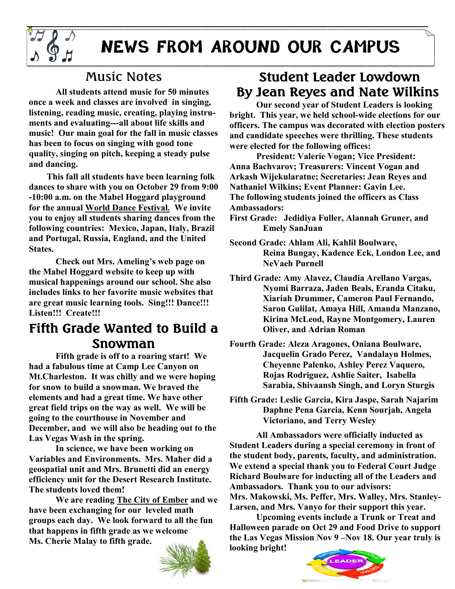

## **NEWS FROM AROUND OUR CAMPUS**

#### Music Notes

**All students attend music for 50 minutes once a week and classes are involved in singing, listening, reading music, creating, playing instruments and evaluating---all about life skills and music! Our main goal for the fall in music classes has been to focus on singing with good tone quality, singing on pitch, keeping a steady pulse and dancing.**

 **This fall all students have been learning folk dances to share with you on October 29 from 9:00 -10:00 a.m. on the Mabel Hoggard playground for the annual World Dance Festival. We invite you to enjoy all students sharing dances from the following countries: Mexico, Japan, Italy, Brazil and Portugal, Russia, England, and the United States.**

**Check out Mrs. Ameling's web page on the Mabel Hoggard website to keep up with musical happenings around our school. She also includes links to her favorite music websites that are great music learning tools. Sing!!! Dance!!! Listen!!! Create!!!** 

#### **Fifth Grade Wanted to Build a Snowman**

**Fifth grade is off to a roaring start! We had a fabulous time at Camp Lee Canyon on Mt.Charleston. It was chilly and we were hoping for snow to build a snowman. We braved the elements and had a great time. We have other great field trips on the way as well. We will be going to the courthouse in November and December, and we will also be heading out to the Las Vegas Wash in the spring.** 

**In science, we have been working on Variables and Environments. Mrs. Maher did a geospatial unit and Mrs. Brunetti did an energy efficiency unit for the Desert Research Institute. The students loved them!** 

**We are reading The City of Ember and we have been exchanging for our leveled math groups each day. We look forward to all the fun that happens in fifth grade as we welcome Ms. Cherie Malay to fifth grade.** 



#### **Student Leader Lowdown By Jean Reyes and Nate Wilkins**

**Our second year of Student Leaders is looking bright. This year, we held school-wide elections for our officers. The campus was decorated with election posters and candidate speeches were thrilling. These students were elected for the following offices:**

**President: Valerie Vogan; Vice President: Anna Bachvarov; Treasurers: Vincent Vogan and Arkash Wijekularatne; Secretaries: Jean Reyes and Nathaniel Wilkins; Event Planner: Gavin Lee. The following students joined the officers as Class Ambassadors:**

**First Grade: Jedidiya Fuller, Alannah Gruner, and Emely SanJuan**

**Second Grade: Ahlam Ali, Kahlil Boulware, Reina Bungay, Kadence Eck, London Lee, and NeVaeh Purnell**

**Third Grade: Amy Alavez, Claudia Arellano Vargas, Nyomi Barraza, Jaden Beals, Eranda Citaku, Xiariah Drummer, Cameron Paul Fernando, Saron Gulilat, Amaya Hill, Amanda Manzano, Kirina McLeod, Rayne Montgomery, Lauren Oliver, and Adrian Roman** 

**Fourth Grade: Aleza Aragones, Oniana Boulware, Jacquelin Grado Perez, Vandalayn Holmes, Cheyenne Palenko, Ashley Perez Vaquero, Rojas Rodriguez, Ashlie Saiter, Isabella Sarabia, Shivaansh Singh, and Loryn Sturgis**

**Fifth Grade: Leslie Garcia, Kira Jaspe, Sarah Najarim Daphne Pena Garcia, Kenn Sourjah, Angela Victoriano, and Terry Wesley**

**All Ambassadors were officially inducted as Student Leaders during a special ceremony in front of the student body, parents, faculty, and administration. We extend a special thank you to Federal Court Judge Richard Boulware for inducting all of the Leaders and Ambassadors. Thank you to our advisors:** 

**Mrs. Makowski, Ms. Peffer, Mrs. Walley, Mrs. Stanley-Larsen, and Mrs. Vanyo for their support this year.**

**Upcoming events include a Trunk or Treat and Halloween parade on Oct 29 and Food Drive to support the Las Vegas Mission Nov 9 –Nov 18. Our year truly is looking bright!**

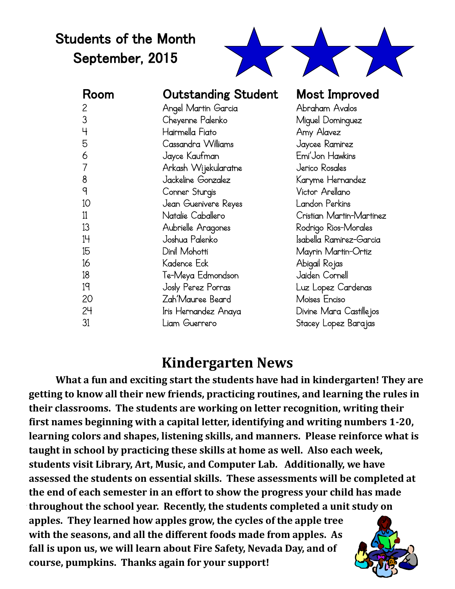### Students of the Month September, 2015



| Room | <b>Outstanding Student</b> | <b>Most Improved</b>     |
|------|----------------------------|--------------------------|
| 2    | Angel Martin Garcia        | Abraham Avalos           |
| 3    | Cheyenne Palenko           | Miguel Dominguez         |
| Ч    | Hairmella Fiato            | Amy Alavez               |
| 5    | Cassandra Williams         | Jaycee Ramirez           |
| 6    | Jayce Kaufman              | Emi'Jon Hawkins          |
| 7    | Arkash Wijekularatne       | Jerico Rosales           |
| 8    | Jackeline Gonzalez         | Karyme Hernandez         |
| q    | Conner Sturgis             | Victor Arellano          |
| 10   | Jean Guenivere Reyes       | Landon Perkins           |
| 11   | Natalie Caballero          | Cristian Martin-Martinez |
| 13   | Aubrielle Aragones         | Rodrigo Rios-Morales     |
| 14   | Joshua Palenko             | Isabella Ramirez-Garcia  |
| 15   | Dinil Mohotti              | Mayrin Martin-Ortiz      |
| 16   | Kadence Eck                | Abigail Rojas            |
| 18   | Te-Meya Edmondson          | Jaiden Cornell           |
| 19   | Josly Perez Porras         | Luz Lopez Cardenas       |
| 20   | Zah'Mauree Beard           | Moises Enciso            |
| 24   | Iris Hernandez Anaya       | Divine Mara Castille jos |
| 31   | Liam Guerrero              | Stacey Lopez Barajas     |

#### **Kindergarten News**

**What a fun and exciting start the students have had in kindergarten! They are getting to know all their new friends, practicing routines, and learning the rules in their classrooms. The students are working on letter recognition, writing their first names beginning with a capital letter, identifying and writing numbers 1-20, learning colors and shapes, listening skills, and manners. Please reinforce what is taught in school by practicing these skills at home as well. Also each week, students visit Library, Art, Music, and Computer Lab. Additionally, we have assessed the students on essential skills. These assessments will be completed at the end of each semester in an effort to show the progress your child has made throughout the school year. Recently, the students completed a unit study on apples. They learned how apples grow, the cycles of the apple tree with the seasons, and all the different foods made from apples. As fall is upon us, we will learn about Fire Safety, Nevada Day, and of course, pumpkins. Thanks again for your support!**